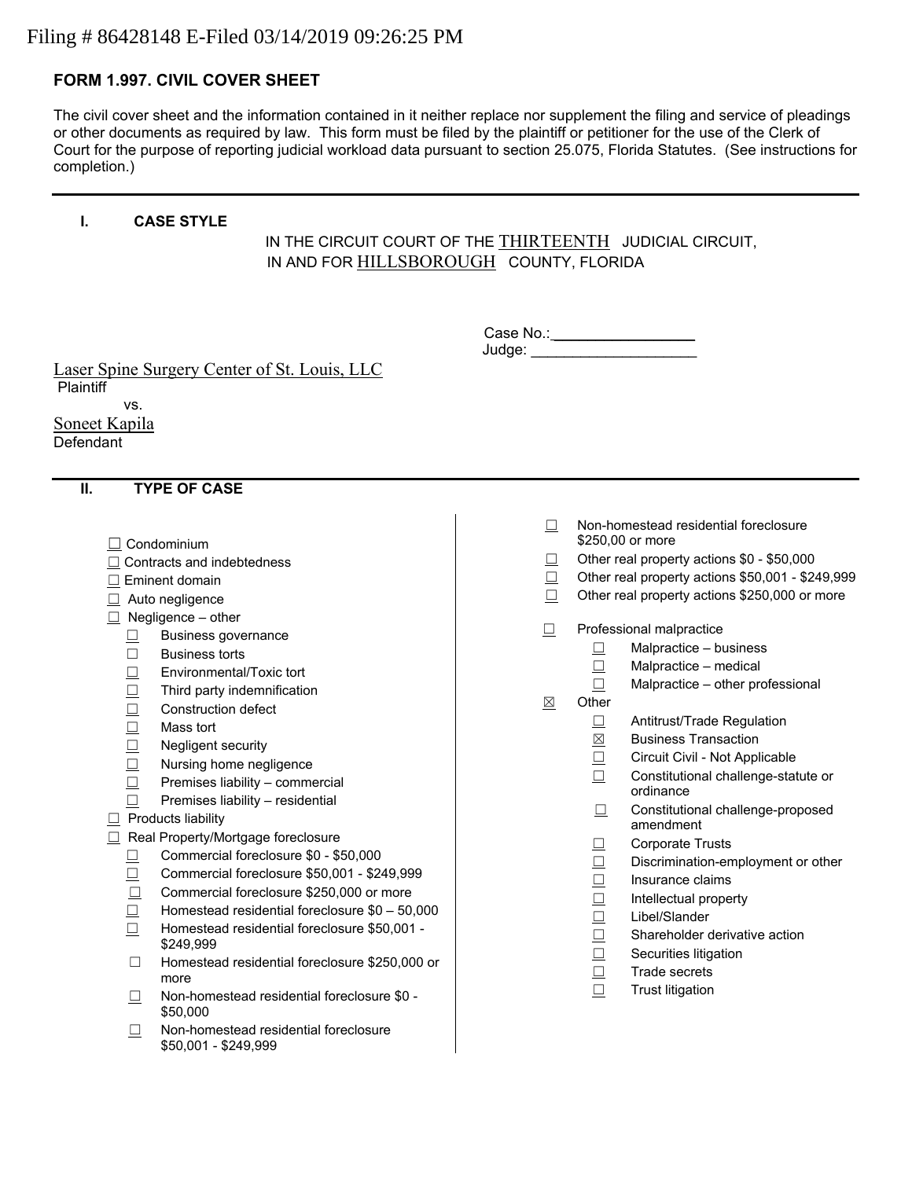# Filing # 86428148 E-Filed 03/14/2019 09:26:25 PM

# **FORM 1.997. CIVIL COVER SHEET**

The civil cover sheet and the information contained in it neither replace nor supplement the filing and service of pleadings or other documents as required by law. This form must be filed by the plaintiff or petitioner for the use of the Clerk of Court for the purpose of reporting judicial workload data pursuant to section 25.075, Florida Statutes. (See instructions for completion.)

#### **I. CASE STYLE**

# IN THE CIRCUIT COURT OF THE THIRTEENTH JUDICIAL CIRCUIT, IN AND FOR HILLSBOROUGH COUNTY, FLORIDA

| Case No.: |  |  |  |
|-----------|--|--|--|
| Judge:    |  |  |  |

Laser Spine Surgery Center of St. Louis, LLC **Plaintiff** 

vs.

Soneet Kapila **Defendant** 

### **II. TYPE OF CASE**

- ☐ Condominium
- ☐ Contracts and indebtedness
- □ Eminent domain
- □ Auto negligence
- $\Box$  Negligence other
	- ☐ Business governance
	- ☐ Business torts
	- ☐ Environmental/Toxic tort
	- ☐ Third party indemnification
	- □ Construction defect
	- ☐ Mass tort
	- ☐ Negligent security
	- ☐ Nursing home negligence
	- ☐ Premises liability commercial
	- $□$  Premises liability residential
- $\Box$  Products liability
- ☐ Real Property/Mortgage foreclosure
	- ☐ Commercial foreclosure \$0 \$50,000
	- ☐ Commercial foreclosure \$50,001 \$249,999
	- ☐ Commercial foreclosure \$250,000 or more
	- ☐ Homestead residential foreclosure \$0 50,000
	- ☐ Homestead residential foreclosure \$50,001 \$249,999
	- ☐ Homestead residential foreclosure \$250,000 or more
	- ☐ Non-homestead residential foreclosure \$0 \$50,000
	- ☐ Non-homestead residential foreclosure \$50,001 - \$249,999
- ☐ Non-homestead residential foreclosure \$250,00 or more
- ☐ Other real property actions \$0 \$50,000
- ☐ Other real property actions \$50,001 \$249,999
- ☐ Other real property actions \$250,000 or more
- ☐ Professional malpractice
	- $\Box$  Malpractice business
	- ☐ Malpractice medical
	- $\Box$  Malpractice other professional
- ☒ Other
	- ☐ Antitrust/Trade Regulation
	- ☒ Business Transaction
	- ☐ Circuit Civil Not Applicable
	- ☐ Constitutional challenge-statute or ordinance
	- ☐ Constitutional challenge-proposed amendment
	- ☐ Corporate Trusts
	- ☐ Discrimination-employment or other
	- ☐ Insurance claims
	- ☐ Intellectual property
	- ☐ Libel/Slander
	- ☐ Shareholder derivative action
	- □ Securities litigation
	- ☐ Trade secrets
	- ☐ Trust litigation